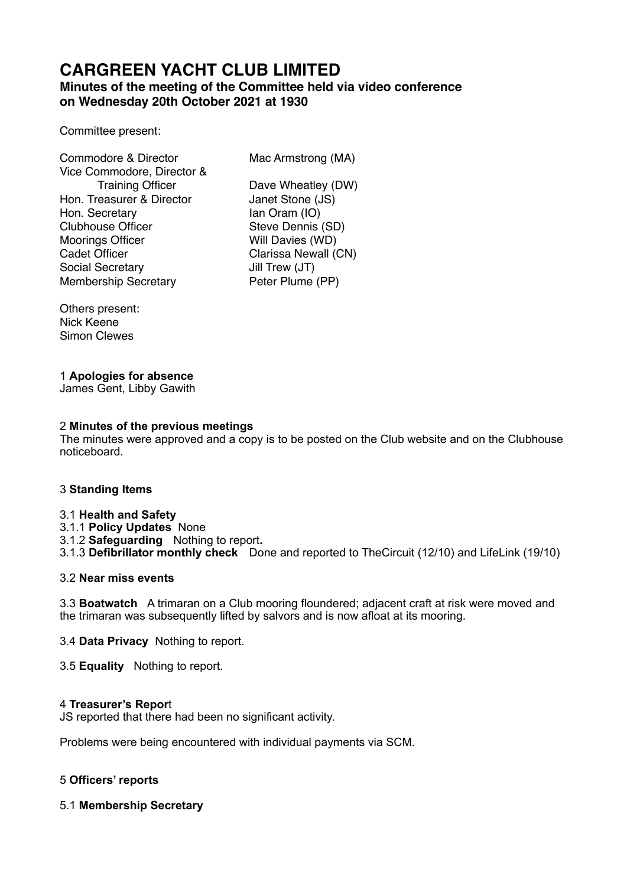# **CARGREEN YACHT CLUB LIMITED**

# **Minutes of the meeting of the Committee held via video conference on Wednesday 20th October 2021 at 1930**

Committee present:

Commodore & Director Mac Armstrong (MA) Vice Commodore, Director & Training Officer Dave Wheatley (DW) Hon. Treasurer & Director Janet Stone (JS) Hon. Secretary Ian Oram (IO) Clubhouse Officer Steve Dennis (SD) Moorings Officer Will Davies (WD) Cadet Officer **Clarissa Newall (CN)** Social Secretary Jill Trew (JT) Membership Secretary Peter Plume (PP)

Others present: Nick Keene Simon Clewes

# 1 **Apologies for absence**

James Gent, Libby Gawith

# 2 **Minutes of the previous meetings**

The minutes were approved and a copy is to be posted on the Club website and on the Clubhouse noticeboard.

# 3 **Standing Items**

# 3.1 **Health and Safety**

- 3.1.1 **Policy Updates** None
- 3.1.2 **Safeguarding** Nothing to report**.**
- 3.1.3 **Defibrillator monthly check** Done and reported to TheCircuit (12/10) and LifeLink (19/10)

# 3.2 **Near miss events**

3.3 **Boatwatch** A trimaran on a Club mooring floundered; adjacent craft at risk were moved and the trimaran was subsequently lifted by salvors and is now afloat at its mooring.

3.4 **Data Privacy** Nothing to report.

3.5 **Equality** Nothing to report.

# 4 **Treasurer's Repor**t

JS reported that there had been no significant activity.

Problems were being encountered with individual payments via SCM.

# 5 **Officers' reports**

# 5.1 **Membership Secretary**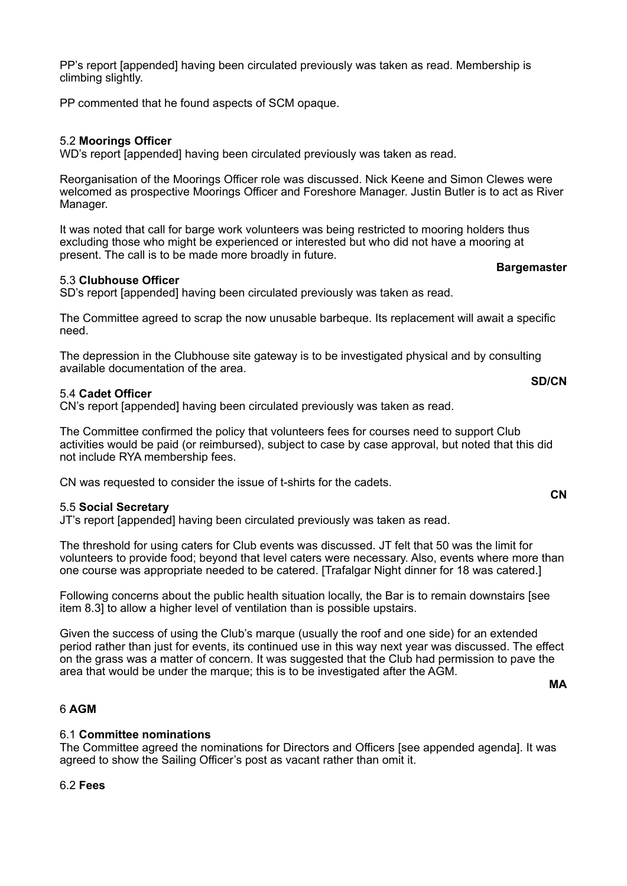PP's report [appended] having been circulated previously was taken as read. Membership is climbing slightly.

PP commented that he found aspects of SCM opaque.

# 5.2 **Moorings Officer**

WD's report [appended] having been circulated previously was taken as read.

Reorganisation of the Moorings Officer role was discussed. Nick Keene and Simon Clewes were welcomed as prospective Moorings Officer and Foreshore Manager. Justin Butler is to act as River Manager.

It was noted that call for barge work volunteers was being restricted to mooring holders thus excluding those who might be experienced or interested but who did not have a mooring at present. The call is to be made more broadly in future.

# 5.3 **Clubhouse Officer**

SD's report [appended] having been circulated previously was taken as read.

The Committee agreed to scrap the now unusable barbeque. Its replacement will await a specific need.

The depression in the Clubhouse site gateway is to be investigated physical and by consulting available documentation of the area.

#### 5.4 **Cadet Officer**

CN's report [appended] having been circulated previously was taken as read.

The Committee confirmed the policy that volunteers fees for courses need to support Club activities would be paid (or reimbursed), subject to case by case approval, but noted that this did not include RYA membership fees.

CN was requested to consider the issue of t-shirts for the cadets.

#### 5.5 **Social Secretary**

JT's report [appended] having been circulated previously was taken as read.

The threshold for using caters for Club events was discussed. JT felt that 50 was the limit for volunteers to provide food; beyond that level caters were necessary. Also, events where more than one course was appropriate needed to be catered. [Trafalgar Night dinner for 18 was catered.]

Following concerns about the public health situation locally, the Bar is to remain downstairs [see item 8.3] to allow a higher level of ventilation than is possible upstairs.

Given the success of using the Club's marque (usually the roof and one side) for an extended period rather than just for events, its continued use in this way next year was discussed. The effect on the grass was a matter of concern. It was suggested that the Club had permission to pave the area that would be under the marque; this is to be investigated after the AGM.

**MA**

# 6 **AGM**

# 6.1 **Committee nominations**

The Committee agreed the nominations for Directors and Officers [see appended agenda]. It was agreed to show the Sailing Officer's post as vacant rather than omit it.

# 6.2 **Fees**

**SD/CN** 

**CN**

**Bargemaster**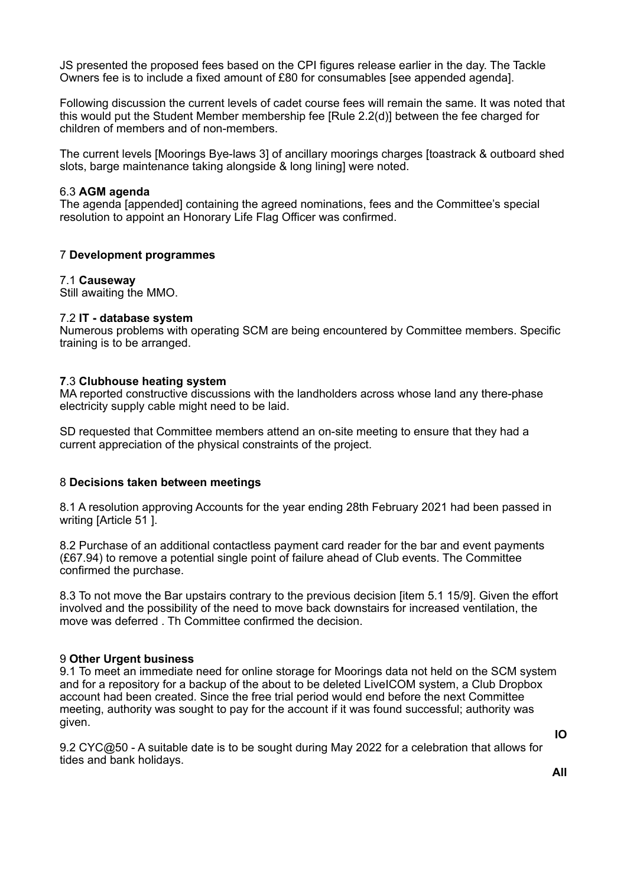JS presented the proposed fees based on the CPI figures release earlier in the day. The Tackle Owners fee is to include a fixed amount of £80 for consumables [see appended agenda].

Following discussion the current levels of cadet course fees will remain the same. It was noted that this would put the Student Member membership fee [Rule 2.2(d)] between the fee charged for children of members and of non-members.

The current levels [Moorings Bye-laws 3] of ancillary moorings charges [toastrack & outboard shed slots, barge maintenance taking alongside & long lining] were noted.

# 6.3 **AGM agenda**

The agenda [appended] containing the agreed nominations, fees and the Committee's special resolution to appoint an Honorary Life Flag Officer was confirmed.

# 7 **Development programmes**

# 7.1 **Causeway**

Still awaiting the MMO.

# 7.2 **IT - database system**

Numerous problems with operating SCM are being encountered by Committee members. Specific training is to be arranged.

# **7**.3 **Clubhouse heating system**

MA reported constructive discussions with the landholders across whose land any there-phase electricity supply cable might need to be laid.

SD requested that Committee members attend an on-site meeting to ensure that they had a current appreciation of the physical constraints of the project.

# 8 **Decisions taken between meetings**

8.1 A resolution approving Accounts for the year ending 28th February 2021 had been passed in writing [Article 51 ].

8.2 Purchase of an additional contactless payment card reader for the bar and event payments (£67.94) to remove a potential single point of failure ahead of Club events. The Committee confirmed the purchase.

8.3 To not move the Bar upstairs contrary to the previous decision [item 5.1 15/9]. Given the effort involved and the possibility of the need to move back downstairs for increased ventilation, the move was deferred . Th Committee confirmed the decision.

# 9 **Other Urgent business**

9.1 To meet an immediate need for online storage for Moorings data not held on the SCM system and for a repository for a backup of the about to be deleted LiveICOM system, a Club Dropbox account had been created. Since the free trial period would end before the next Committee meeting, authority was sought to pay for the account if it was found successful; authority was given.

9.2 CYC@50 - A suitable date is to be sought during May 2022 for a celebration that allows for tides and bank holidays.

**IO**